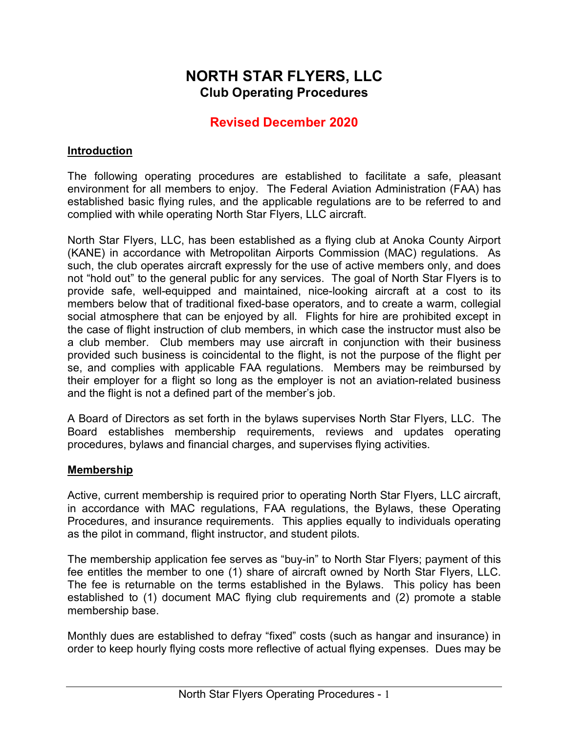# **NORTH STAR FLYERS, LLC Club Operating Procedures**

## **Revised December 2020**

#### **Introduction**

The following operating procedures are established to facilitate a safe, pleasant environment for all members to enjoy. The Federal Aviation Administration (FAA) has established basic flying rules, and the applicable regulations are to be referred to and complied with while operating North Star Flyers, LLC aircraft.

North Star Flyers, LLC, has been established as a flying club at Anoka County Airport (KANE) in accordance with Metropolitan Airports Commission (MAC) regulations. As such, the club operates aircraft expressly for the use of active members only, and does not "hold out" to the general public for any services. The goal of North Star Flyers is to provide safe, well-equipped and maintained, nice-looking aircraft at a cost to its members below that of traditional fixed-base operators, and to create a warm, collegial social atmosphere that can be enjoyed by all. Flights for hire are prohibited except in the case of flight instruction of club members, in which case the instructor must also be a club member. Club members may use aircraft in conjunction with their business provided such business is coincidental to the flight, is not the purpose of the flight per se, and complies with applicable FAA regulations. Members may be reimbursed by their employer for a flight so long as the employer is not an aviation-related business and the flight is not a defined part of the member's job.

A Board of Directors as set forth in the bylaws supervises North Star Flyers, LLC. The Board establishes membership requirements, reviews and updates operating procedures, bylaws and financial charges, and supervises flying activities.

#### **Membership**

Active, current membership is required prior to operating North Star Flyers, LLC aircraft, in accordance with MAC regulations, FAA regulations, the Bylaws, these Operating Procedures, and insurance requirements. This applies equally to individuals operating as the pilot in command, flight instructor, and student pilots.

The membership application fee serves as "buy-in" to North Star Flyers; payment of this fee entitles the member to one (1) share of aircraft owned by North Star Flyers, LLC. The fee is returnable on the terms established in the Bylaws. This policy has been established to (1) document MAC flying club requirements and (2) promote a stable membership base.

Monthly dues are established to defray "fixed" costs (such as hangar and insurance) in order to keep hourly flying costs more reflective of actual flying expenses. Dues may be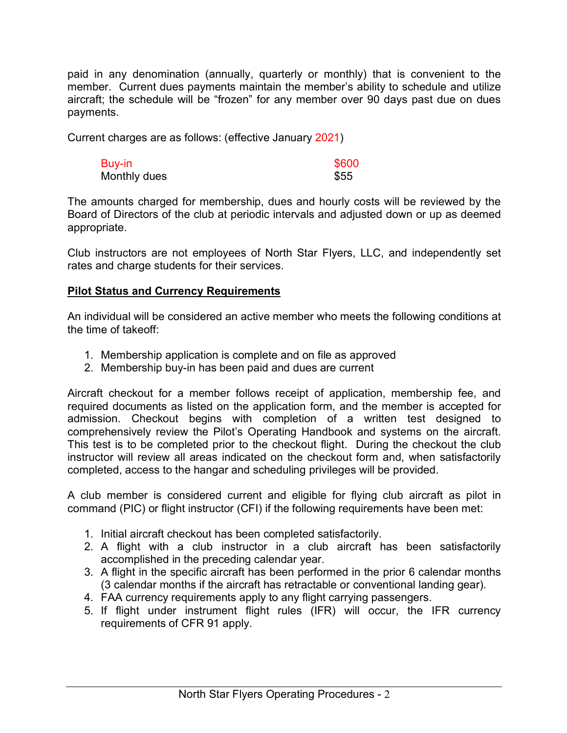paid in any denomination (annually, quarterly or monthly) that is convenient to the member. Current dues payments maintain the member's ability to schedule and utilize aircraft; the schedule will be "frozen" for any member over 90 days past due on dues payments.

Current charges are as follows: (effective January 2021)

| Buy-in       | \$600 |
|--------------|-------|
| Monthly dues | \$55  |

The amounts charged for membership, dues and hourly costs will be reviewed by the Board of Directors of the club at periodic intervals and adjusted down or up as deemed appropriate.

Club instructors are not employees of North Star Flyers, LLC, and independently set rates and charge students for their services.

#### **Pilot Status and Currency Requirements**

An individual will be considered an active member who meets the following conditions at the time of takeoff:

- 1. Membership application is complete and on file as approved
- 2. Membership buy-in has been paid and dues are current

Aircraft checkout for a member follows receipt of application, membership fee, and required documents as listed on the application form, and the member is accepted for admission. Checkout begins with completion of a written test designed to comprehensively review the Pilot's Operating Handbook and systems on the aircraft. This test is to be completed prior to the checkout flight. During the checkout the club instructor will review all areas indicated on the checkout form and, when satisfactorily completed, access to the hangar and scheduling privileges will be provided.

A club member is considered current and eligible for flying club aircraft as pilot in command (PIC) or flight instructor (CFI) if the following requirements have been met:

- 1. Initial aircraft checkout has been completed satisfactorily.
- 2. A flight with a club instructor in a club aircraft has been satisfactorily accomplished in the preceding calendar year.
- 3. A flight in the specific aircraft has been performed in the prior 6 calendar months (3 calendar months if the aircraft has retractable or conventional landing gear).
- 4. FAA currency requirements apply to any flight carrying passengers.
- 5. If flight under instrument flight rules (IFR) will occur, the IFR currency requirements of CFR 91 apply.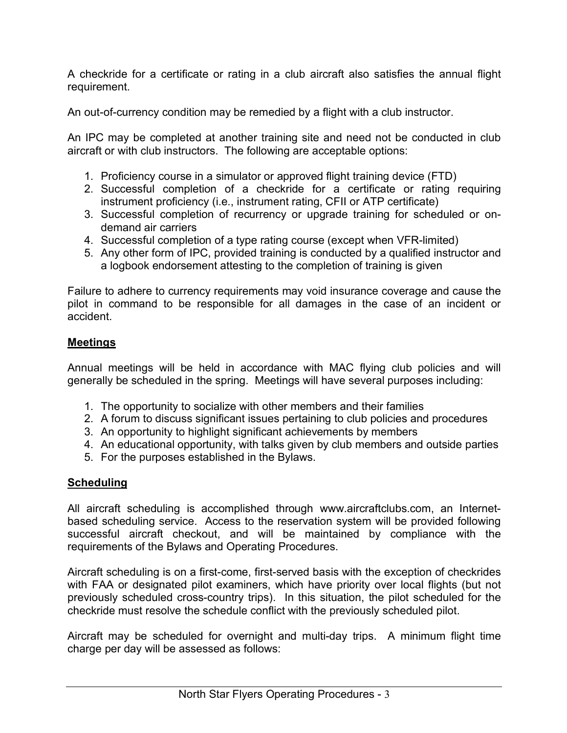A checkride for a certificate or rating in a club aircraft also satisfies the annual flight requirement.

An out-of-currency condition may be remedied by a flight with a club instructor.

An IPC may be completed at another training site and need not be conducted in club aircraft or with club instructors. The following are acceptable options:

- 1. Proficiency course in a simulator or approved flight training device (FTD)
- 2. Successful completion of a checkride for a certificate or rating requiring instrument proficiency (i.e., instrument rating, CFII or ATP certificate)
- 3. Successful completion of recurrency or upgrade training for scheduled or ondemand air carriers
- 4. Successful completion of a type rating course (except when VFR-limited)
- 5. Any other form of IPC, provided training is conducted by a qualified instructor and a logbook endorsement attesting to the completion of training is given

Failure to adhere to currency requirements may void insurance coverage and cause the pilot in command to be responsible for all damages in the case of an incident or accident.

### **Meetings**

Annual meetings will be held in accordance with MAC flying club policies and will generally be scheduled in the spring. Meetings will have several purposes including:

- 1. The opportunity to socialize with other members and their families
- 2. A forum to discuss significant issues pertaining to club policies and procedures
- 3. An opportunity to highlight significant achievements by members
- 4. An educational opportunity, with talks given by club members and outside parties
- 5. For the purposes established in the Bylaws.

### **Scheduling**

All aircraft scheduling is accomplished through www.aircraftclubs.com, an Internetbased scheduling service. Access to the reservation system will be provided following successful aircraft checkout, and will be maintained by compliance with the requirements of the Bylaws and Operating Procedures.

Aircraft scheduling is on a first-come, first-served basis with the exception of checkrides with FAA or designated pilot examiners, which have priority over local flights (but not previously scheduled cross-country trips). In this situation, the pilot scheduled for the checkride must resolve the schedule conflict with the previously scheduled pilot.

Aircraft may be scheduled for overnight and multi-day trips. A minimum flight time charge per day will be assessed as follows: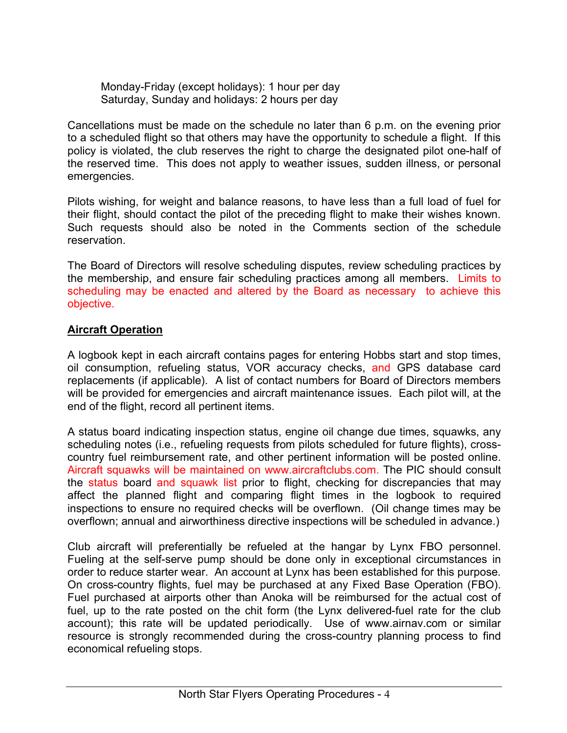Monday-Friday (except holidays): 1 hour per day Saturday, Sunday and holidays: 2 hours per day

Cancellations must be made on the schedule no later than 6 p.m. on the evening prior to a scheduled flight so that others may have the opportunity to schedule a flight. If this policy is violated, the club reserves the right to charge the designated pilot one-half of the reserved time. This does not apply to weather issues, sudden illness, or personal emergencies.

Pilots wishing, for weight and balance reasons, to have less than a full load of fuel for their flight, should contact the pilot of the preceding flight to make their wishes known. Such requests should also be noted in the Comments section of the schedule reservation.

The Board of Directors will resolve scheduling disputes, review scheduling practices by the membership, and ensure fair scheduling practices among all members. Limits to scheduling may be enacted and altered by the Board as necessary to achieve this objective.

#### **Aircraft Operation**

A logbook kept in each aircraft contains pages for entering Hobbs start and stop times, oil consumption, refueling status, VOR accuracy checks, and GPS database card replacements (if applicable). A list of contact numbers for Board of Directors members will be provided for emergencies and aircraft maintenance issues. Each pilot will, at the end of the flight, record all pertinent items.

A status board indicating inspection status, engine oil change due times, squawks, any scheduling notes (i.e., refueling requests from pilots scheduled for future flights), crosscountry fuel reimbursement rate, and other pertinent information will be posted online. Aircraft squawks will be maintained on www.aircraftclubs.com. The PIC should consult the status board and squawk list prior to flight, checking for discrepancies that may affect the planned flight and comparing flight times in the logbook to required inspections to ensure no required checks will be overflown. (Oil change times may be overflown; annual and airworthiness directive inspections will be scheduled in advance.)

Club aircraft will preferentially be refueled at the hangar by Lynx FBO personnel. Fueling at the self-serve pump should be done only in exceptional circumstances in order to reduce starter wear. An account at Lynx has been established for this purpose. On cross-country flights, fuel may be purchased at any Fixed Base Operation (FBO). Fuel purchased at airports other than Anoka will be reimbursed for the actual cost of fuel, up to the rate posted on the chit form (the Lynx delivered-fuel rate for the club account); this rate will be updated periodically. Use of www.airnav.com or similar resource is strongly recommended during the cross-country planning process to find economical refueling stops.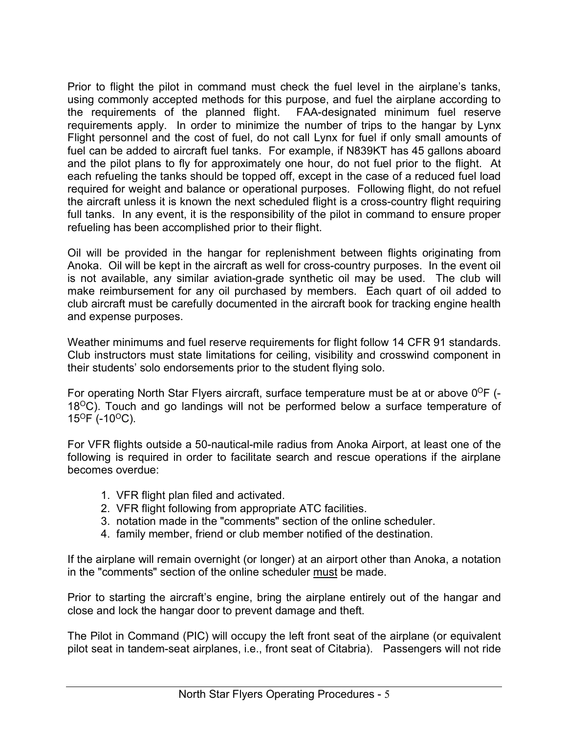Prior to flight the pilot in command must check the fuel level in the airplane's tanks, using commonly accepted methods for this purpose, and fuel the airplane according to the requirements of the planned flight. FAA-designated minimum fuel reserve the requirements of the planned flight. requirements apply. In order to minimize the number of trips to the hangar by Lynx Flight personnel and the cost of fuel, do not call Lynx for fuel if only small amounts of fuel can be added to aircraft fuel tanks. For example, if N839KT has 45 gallons aboard and the pilot plans to fly for approximately one hour, do not fuel prior to the flight. At each refueling the tanks should be topped off, except in the case of a reduced fuel load required for weight and balance or operational purposes. Following flight, do not refuel the aircraft unless it is known the next scheduled flight is a cross-country flight requiring full tanks. In any event, it is the responsibility of the pilot in command to ensure proper refueling has been accomplished prior to their flight.

Oil will be provided in the hangar for replenishment between flights originating from Anoka. Oil will be kept in the aircraft as well for cross-country purposes. In the event oil is not available, any similar aviation-grade synthetic oil may be used. The club will make reimbursement for any oil purchased by members. Each quart of oil added to club aircraft must be carefully documented in the aircraft book for tracking engine health and expense purposes.

Weather minimums and fuel reserve requirements for flight follow 14 CFR 91 standards. Club instructors must state limitations for ceiling, visibility and crosswind component in their students' solo endorsements prior to the student flying solo.

For operating North Star Flyers aircraft, surface temperature must be at or above  $0^{\circ}$ F (- $18^{\circ}$ C). Touch and go landings will not be performed below a surface temperature of  $15^{\circ}$ F (-10 $^{\circ}$ C).

For VFR flights outside a 50-nautical-mile radius from Anoka Airport, at least one of the following is required in order to facilitate search and rescue operations if the airplane becomes overdue:

- 1. VFR flight plan filed and activated.
- 2. VFR flight following from appropriate ATC facilities.
- 3. notation made in the "comments" section of the online scheduler.
- 4. family member, friend or club member notified of the destination.

If the airplane will remain overnight (or longer) at an airport other than Anoka, a notation in the "comments" section of the online scheduler must be made.

Prior to starting the aircraft's engine, bring the airplane entirely out of the hangar and close and lock the hangar door to prevent damage and theft.

The Pilot in Command (PIC) will occupy the left front seat of the airplane (or equivalent pilot seat in tandem-seat airplanes, i.e., front seat of Citabria). Passengers will not ride